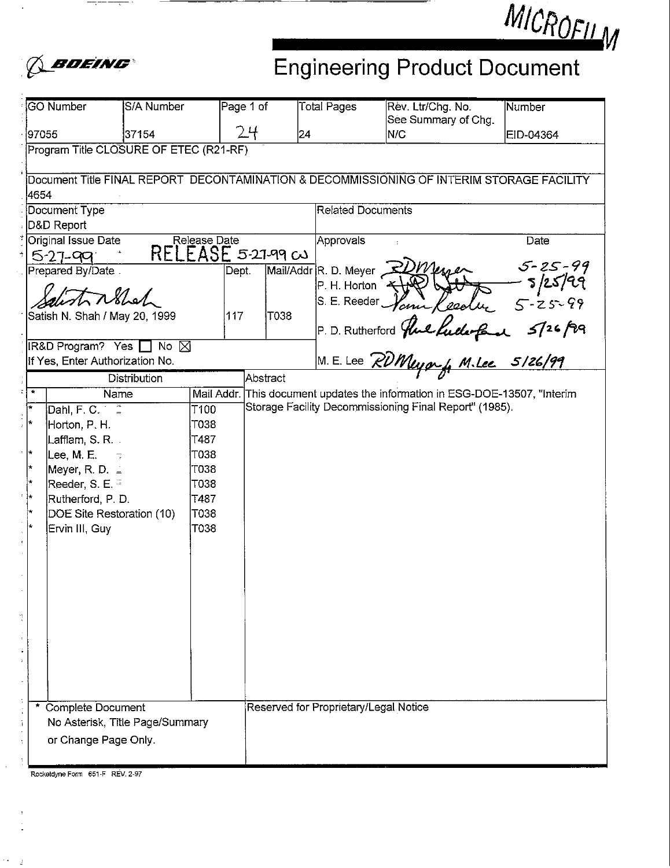

# MICROFILM Engineering Product Document

|                                                                                           | <b>GO Number</b>                                     | S/A Number     | Page 1 of  |          | <b>Total Pages</b>                    | Rev. Ltr/Chg. No.<br>See Summary of Chg.                                                                                                     | Number    |  |  |  |
|-------------------------------------------------------------------------------------------|------------------------------------------------------|----------------|------------|----------|---------------------------------------|----------------------------------------------------------------------------------------------------------------------------------------------|-----------|--|--|--|
| 97055                                                                                     |                                                      | 37154          | 24         |          | 24                                    | N/C                                                                                                                                          | EID-04364 |  |  |  |
|                                                                                           | Program Title CLOSURE OF ETEC (R21-RF)               |                |            |          |                                       |                                                                                                                                              |           |  |  |  |
| Document Title FINAL REPORT DECONTAMINATION & DECOMMISSIONING OF INTERIM STORAGE FACILITY |                                                      |                |            |          |                                       |                                                                                                                                              |           |  |  |  |
|                                                                                           | 4654                                                 |                |            |          |                                       |                                                                                                                                              |           |  |  |  |
|                                                                                           | Document Type                                        |                |            |          |                                       | <b>Related Documents</b>                                                                                                                     |           |  |  |  |
|                                                                                           | D&D Report                                           |                |            |          |                                       |                                                                                                                                              |           |  |  |  |
| Original Issue Date<br>Release Date<br>$RELEASE$ 5-27-99 $\infty$                         |                                                      |                |            |          | Approvals                             |                                                                                                                                              | Date      |  |  |  |
|                                                                                           | $5 - 27 - 99$                                        |                |            |          |                                       |                                                                                                                                              |           |  |  |  |
|                                                                                           | Prepared By/Date                                     |                | Dept.      |          | Mail/Addr R. D. Meyer                 |                                                                                                                                              |           |  |  |  |
|                                                                                           | tribled                                              |                |            |          |                                       |                                                                                                                                              |           |  |  |  |
|                                                                                           |                                                      |                |            |          |                                       |                                                                                                                                              |           |  |  |  |
|                                                                                           | Satish N. Shah / May 20, 1999                        |                | 117        | T038     |                                       |                                                                                                                                              |           |  |  |  |
|                                                                                           |                                                      |                |            |          |                                       |                                                                                                                                              |           |  |  |  |
|                                                                                           | IR&D Program? Yes<br>If Yes, Enter Authorization No. | <b>No</b><br>⊠ |            |          |                                       | R. D. Meyer 2DM 1994 5-25-99<br>P. H. Horton The Ceelu 5-25-99<br>S. E. Reeder Vann Reelu 5-25-99<br>P. D. Rutherford The Lutherford 5/26/99 |           |  |  |  |
|                                                                                           |                                                      | Distribution   |            | Abstract |                                       |                                                                                                                                              |           |  |  |  |
| $\star$                                                                                   | Name                                                 |                | Mail Addr. |          |                                       | This document updates the information in ESG-DOE-13507, "Interim                                                                             |           |  |  |  |
| i w                                                                                       | Dahl, F. C.                                          | T100           |            |          |                                       | Storage Facility Decommissioning Final Report" (1985).                                                                                       |           |  |  |  |
| ÷                                                                                         |                                                      | T038           |            |          |                                       |                                                                                                                                              |           |  |  |  |
|                                                                                           | Horton, P. H.                                        |                |            |          |                                       |                                                                                                                                              |           |  |  |  |
| H.                                                                                        | Lafflam, S. R. .                                     | T487           |            |          |                                       |                                                                                                                                              |           |  |  |  |
| l +                                                                                       | Lee, M. E.                                           | T038           |            |          |                                       |                                                                                                                                              |           |  |  |  |
| ÷                                                                                         | Meyer, R. D. $=$                                     | T038           |            |          |                                       |                                                                                                                                              |           |  |  |  |
|                                                                                           | Reeder, S. E.                                        | T038           |            |          |                                       |                                                                                                                                              |           |  |  |  |
| ŀ.                                                                                        | Rutherford, P. D.                                    | T487           |            |          |                                       |                                                                                                                                              |           |  |  |  |
|                                                                                           | DOE Site Restoration (10)                            | T038           |            |          |                                       |                                                                                                                                              |           |  |  |  |
|                                                                                           | Ervin III, Guy                                       | T038           |            |          |                                       |                                                                                                                                              |           |  |  |  |
|                                                                                           |                                                      |                |            |          |                                       |                                                                                                                                              |           |  |  |  |
|                                                                                           |                                                      |                |            |          |                                       |                                                                                                                                              |           |  |  |  |
|                                                                                           |                                                      |                |            |          |                                       |                                                                                                                                              |           |  |  |  |
|                                                                                           |                                                      |                |            |          |                                       |                                                                                                                                              |           |  |  |  |
|                                                                                           |                                                      |                |            |          |                                       |                                                                                                                                              |           |  |  |  |
|                                                                                           |                                                      |                |            |          |                                       |                                                                                                                                              |           |  |  |  |
|                                                                                           |                                                      |                |            |          |                                       |                                                                                                                                              |           |  |  |  |
|                                                                                           |                                                      |                |            |          |                                       |                                                                                                                                              |           |  |  |  |
|                                                                                           |                                                      |                |            |          |                                       |                                                                                                                                              |           |  |  |  |
|                                                                                           |                                                      |                |            |          |                                       |                                                                                                                                              |           |  |  |  |
|                                                                                           |                                                      |                |            |          |                                       |                                                                                                                                              |           |  |  |  |
| * Complete Document                                                                       |                                                      |                |            |          | Reserved for Proprietary/Legal Notice |                                                                                                                                              |           |  |  |  |
| No Asterisk, Title Page/Summary                                                           |                                                      |                |            |          |                                       |                                                                                                                                              |           |  |  |  |
|                                                                                           | or Change Page Only.                                 |                |            |          |                                       |                                                                                                                                              |           |  |  |  |
|                                                                                           |                                                      |                |            |          |                                       |                                                                                                                                              |           |  |  |  |
|                                                                                           |                                                      |                |            |          |                                       |                                                                                                                                              |           |  |  |  |

 $\gamma = 1$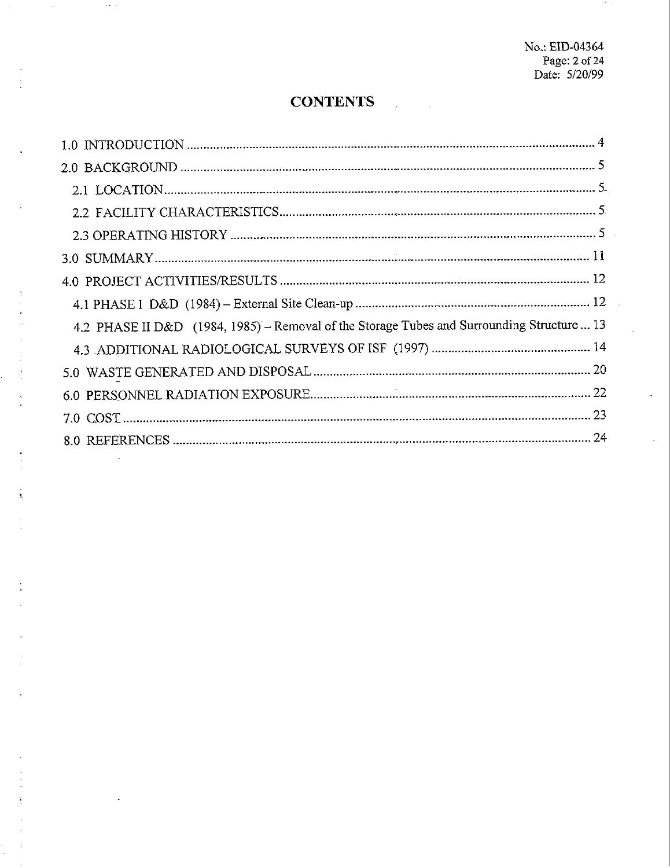## **CONTENTS**

| 4.2 PHASE II D&D (1984, 1985) – Removal of the Storage Tubes and Surrounding Structure  13 |
|--------------------------------------------------------------------------------------------|
|                                                                                            |
|                                                                                            |
|                                                                                            |
|                                                                                            |
|                                                                                            |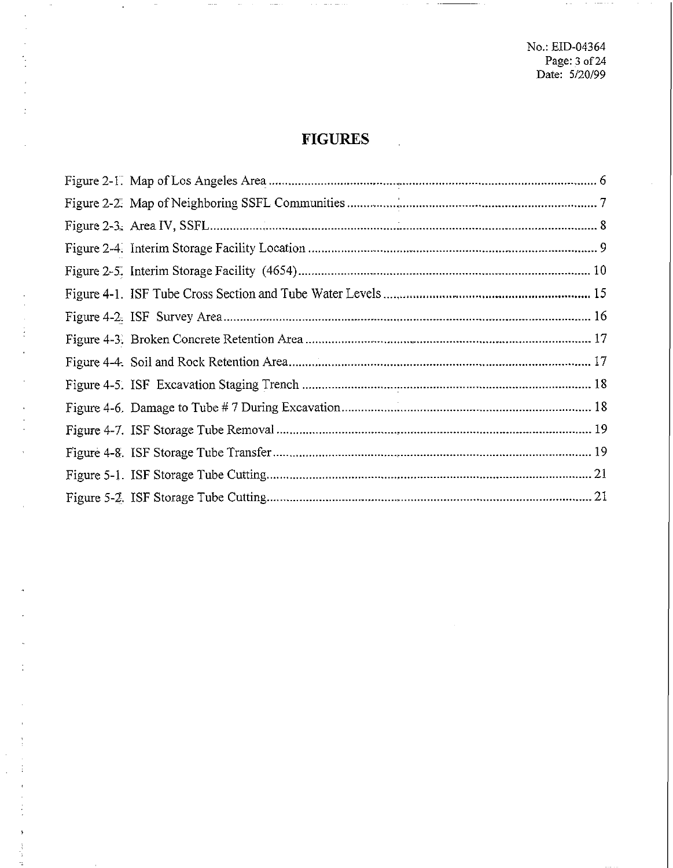No.: EID-04364 Page: 3 of 24<br>Date: 5/20/99

 $\mathcal{A}(\mathcal{A})$  and  $\mathcal{A}(\mathcal{A})$  is a sequence of

# **FIGURES**

 $\alpha$  $\sim$   $\sim$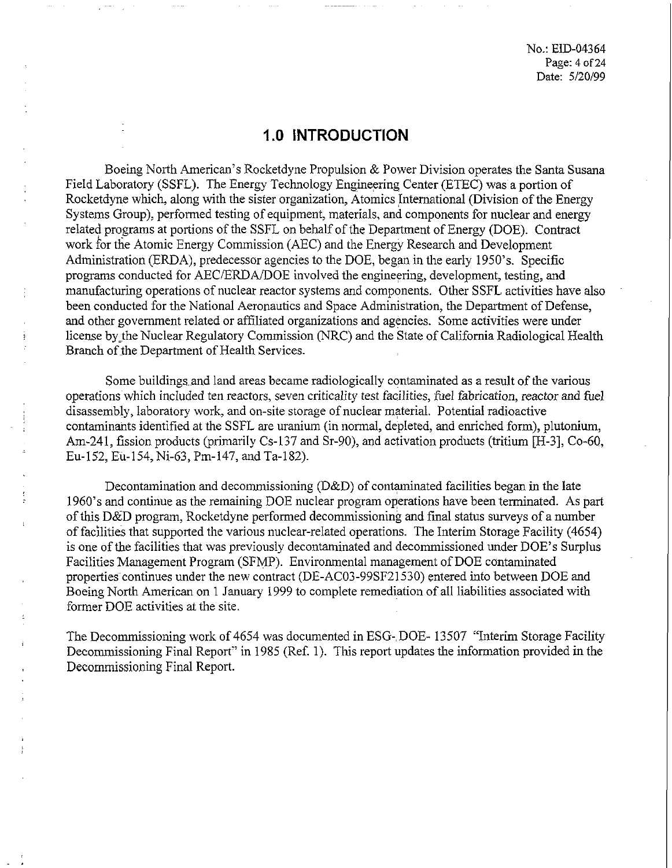No.: EID-04364 Page: 4 of 24 Date: 5/20/99

### **I .O INTRODUCTION**

Boeing North American's Rocketdyne Propulsion & Power Division operates the Santa Susana Field Laboratory (SSFL). The Energy Technology Engineermg Center (ETEC) was a portion of Rocketdyne which, along with the sister organization, Atomics International (Division of the Energy Systems Group), performed testing of equipment, materials, and components for nuclear and energy related programs at portions of the SSFL on behalf of the Department of Energy (DOE). Contract work for the Atomic Energy Commission (AEC) and the Energy Research and Development Administration (ERDA), predecessor agencies to the DOE, began in the early 1950's. Specific programs conducted for AEC/ERDA/DOE involved the engineering, development, testing, and manufacturing operations of nuclear reactor systems and components. Other SSFL activities have also been conducted for the National Aeronautics and Space Administration, the Department of Defense, and other government related or affiliated organizations and agencies. Some activities were under license by the Nuclear Regulatory Commission (NRC) and the State of California Radiological Health Branch of the Department of Health Services.

Some buildings and land areas became radiologically contaminated as a result of the various operations which included ten reactors, seven criticality test facilities, fuel fabrication, reactor and fuel disassembly, laboratory work, and on-site storage of nuclear material. Potential radioactive contaminants identified at the SSFL are uranium (in normal, depleted, and enriched form), plutonium, Am-241, fission products (primarily Cs-137 and Sr-90), and activation products (tritium [H-3], Co-60, Eu-152, Eu-154, Ni-63, Pm-147, and Ta-182).

Decontamination and decommissioning (D&D) of contaminated facilities began in the late 1960's and continue as the remaining DOE nuclear program operations have been terminated. As part of this D&D program, Rocketdyne performed decommissioning and final status surveys of a number of facilities that supported the various nuclear-related operations. The Interim Storage Facility (4654) is one of the facilities that was previously decontaminated and decommissioned under DOE'S Surplus Facilities Management Program (SFMP). Environmental management of DOE contaminated properties continues under the new contract (DE-AC03-99SF21530) entered into between DOE and Boeing North American on 1 January 1999 to complete remediation of all liabilities associated with former DOE activities **at** the site.

The Decommissioning work of 4654 was documented in ESG- DOE- 13507 "Interim Storage Facility Decommissioning Final Report" in 1985 (Ref. 1). This report updates the information provided in the Decommissioning Final Report.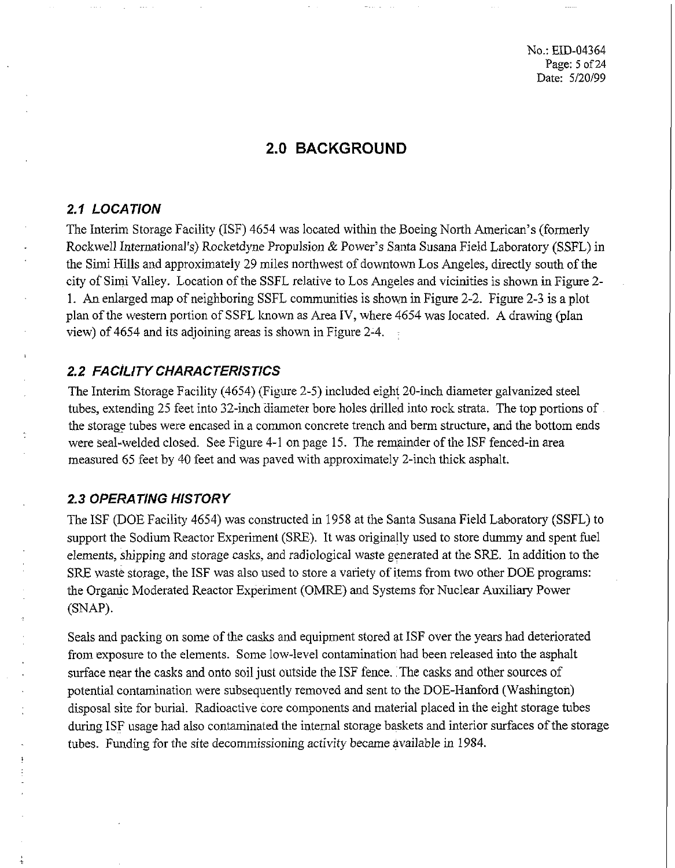## **2.0 BACKGROUND**

#### **2.1 LOCATION**

The Interim Storage Facility (ISF) 4654 was located within the Boeing North American's (formerly Rockwell International's) Rocketdyne Propulsion & Power's Santa Susana Field Laboratory (SSFL) in the Simi Hills and approximately 29 miles northwest of downtown Los Angeles, directly south of the city of Simi Valley. Location of the SSFL relative to Los Angeles and vicinities is shown in Figure 2- 1. An enlarged map of neighboring SSFL communities is shown in Figure 2-2. Figure 2-3 is a plot plan of the western portion of SSFL known as Area IV, where 4654 was located. A drawing (plan view) of 4654 and its adjoining areas is shown in Figure 2-4.

#### **2.2 FACILITY CHARACTERISTICS**

The Interim Storage Facility (4654) (Figure 2-5) included eight 20-inch diameter galvanized steel tubes, extending 25 feet into 32-inch diameter bore holes drilled into rock strata. The top portions of the storage tubes were encased in a common concrete trench and berm structure, and the bottom ends were seal-welded closed. See Figure 4-1 on page 15. The remainder of the ISF fenced-in area measured 65 feet by 40 feet and was paved with approximately 2-inch thick asphalt.

#### **2.3 OPERATING HISTORY**

The ISF (DOE Facility 4654) was constructed in 1958 at the Santa Susana Field Laboratory (SSFL) to support the Sodium Reactor Experiment (SRE). It was originally used to store dummy and spent fuel elements, shipping and storage casks, and radiological waste generated at the SRE. In addition to the SRE waste storage, the ISF was also used to store a variety of items from two other DOE programs: the Organic Moderated Reactor Experiment (OMRE) and Systems for Nuclear Auxiliary Power (SNAP).

Seals and packing on some of the casks and equipment stored at ISF over the years had deteriorated from exposure to the elements. Some low-level contamination had been released into the asphalt surface near the casks and onto soil just outside the ISF fence. The casks and other sources of potential contamination were subsequently removed and sent to the DOE-Hanford (Washington) disposal site for burial. Radioactive core components and material placed in the eight storage tubes during ISF usage had also contaminated the internal storage baskets and interior surfaces of the storage tubes. Funding for the site decommissioning activity became available in 1984.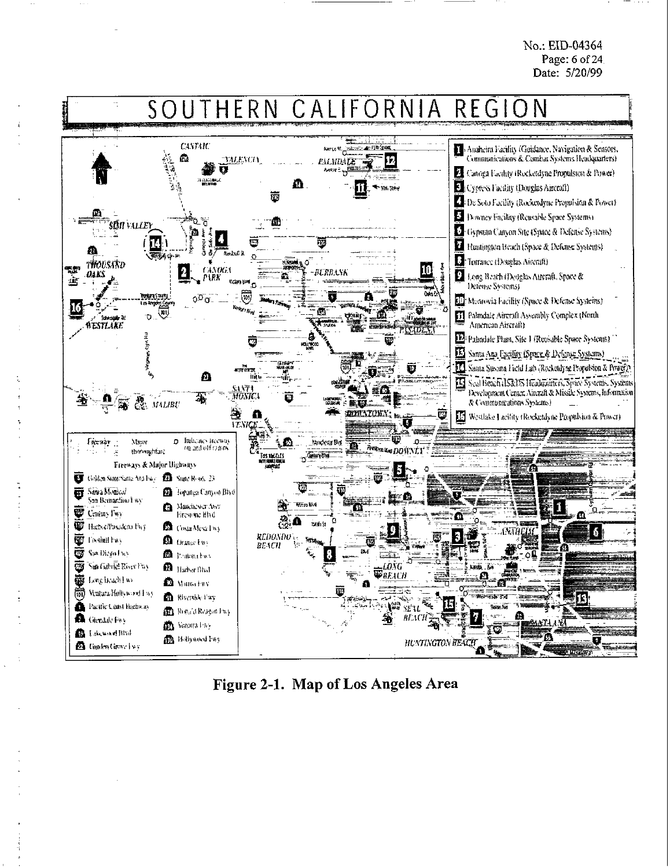No.: EID-04364 Page: 6 of **24**  Date: 5/20/99



**Figure 2-1. Map of Los Angeles Area**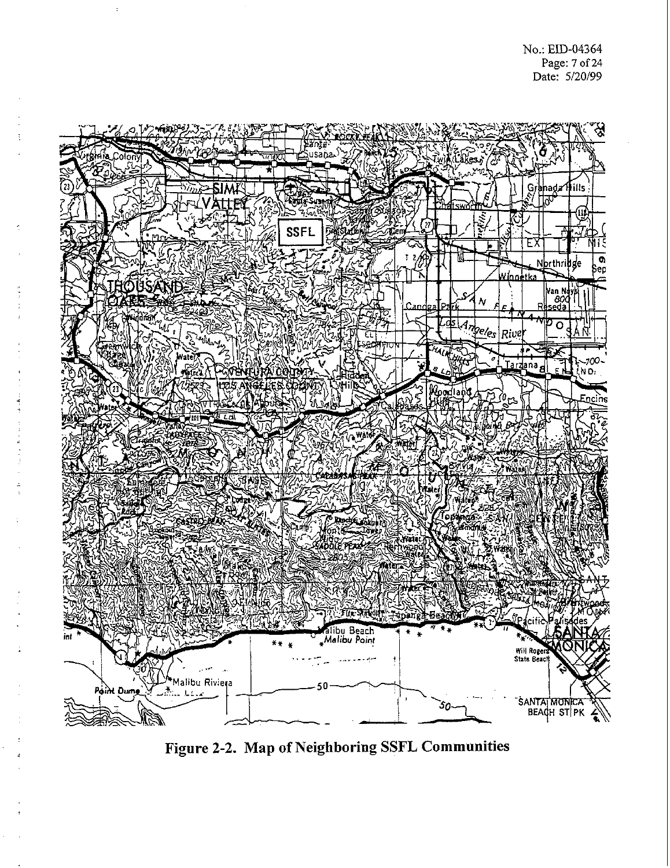

**Figure 2-2. Map of Neighboring SSFL Communities**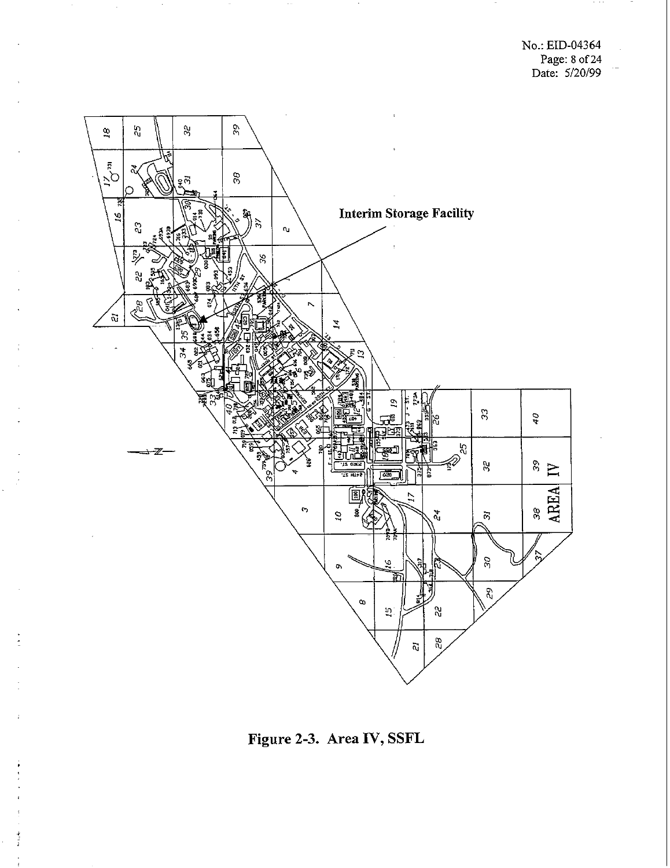No.: EID-04364 Page: 8 of24 Date: 5/20/99



**Figure 2-3. Area IV, SSFL**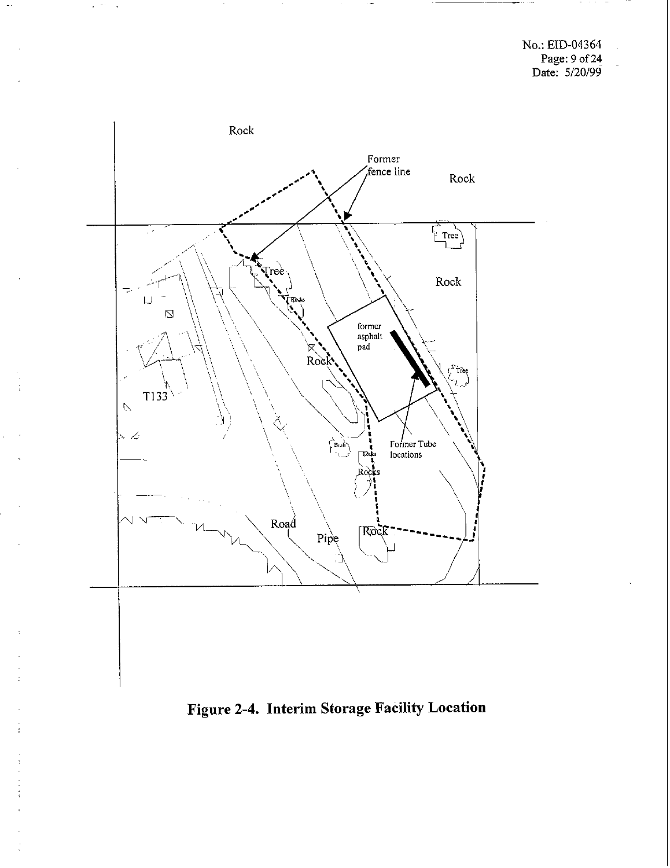

**Figure 2-4. Interim Storage Facility Location**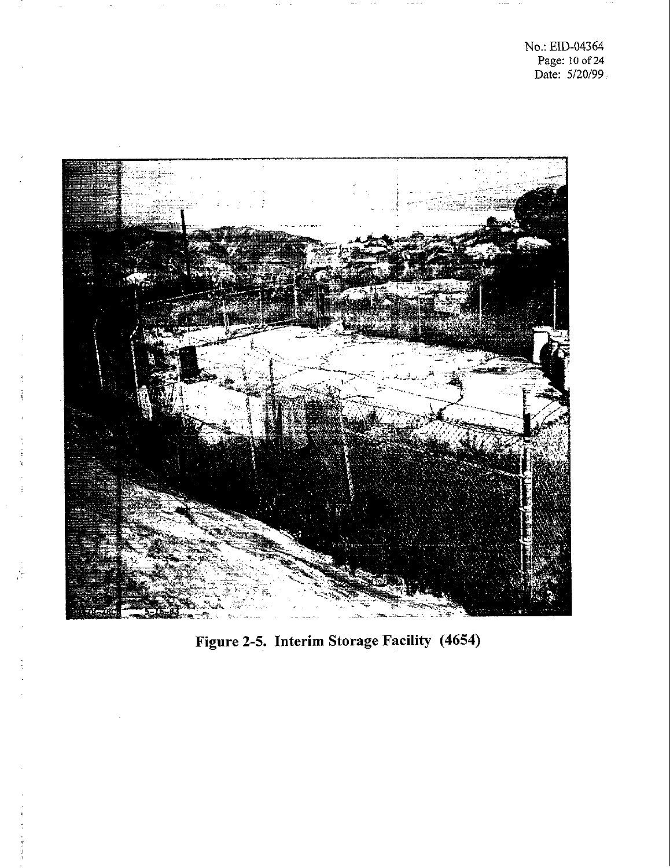

÷

**Figure 2-5. Interim Storage Facility (4654)**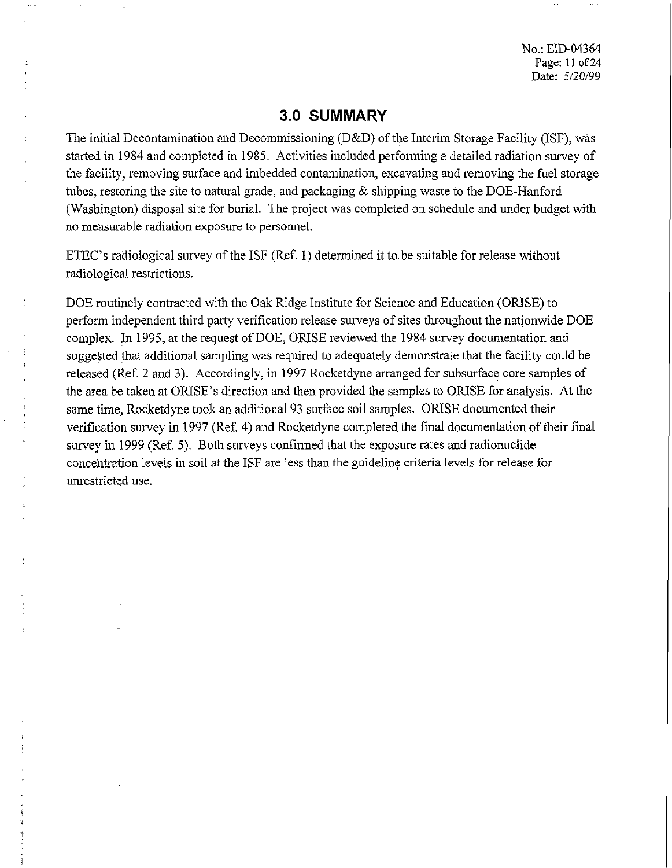No.: EID-04364 Page: 11 of 24 Date: 5/20/99

#### 3.0 SUMMARY

The initial Decontamination and Decommissioning (D&D) of the Interim Storage Facility (ISF), was started in 1984 and completed in 1985. Activities included performing a detailed radiation survey of the facility, removing surface and imbedded contamination, excavating and removing the fuel storage tubes, restoring the site to natural grade, and packaging & shipping waste to the DOE-Hanford (Washington) disposal site for burial. The project was completed on schedule and under budget with no measurable radiation exposure to personnel.

ETEC's radiological survey of the ISF (Ref. 1) determined it to be suitable for release without radiological restrictions.

DOE routinely contracted with the Oak Ridge Institute for Science and Education (ORISE) to perform independent third party verification release surveys of sites throughout the nationwide DOE complex. In 1995, at the request of DOE, ORISE reviewed the 1984 survey documentation and suggested that additional sampling was required to adequately demonstrate that the facility could be released (Ref. 2 and **3).** Accordingly, in 1997 Rocketdyne arranged for subsurface core samples of the area be taken at ORISE's direction and then provided the samples to ORISE for analysis. At the same time, Rocketdyne took an additional 93 surface soil samples. ORISE documented their verification survey in 1997 (Ref. 4) and Rocketdyne completed the final documentation of their fmal survey in 1999 (Ref. 5). Both surveys confirmed that the exposure rates and radionuclide concentrafion levels in soil at the ISF are less than the guideline criteria levels for release for unrestricted use.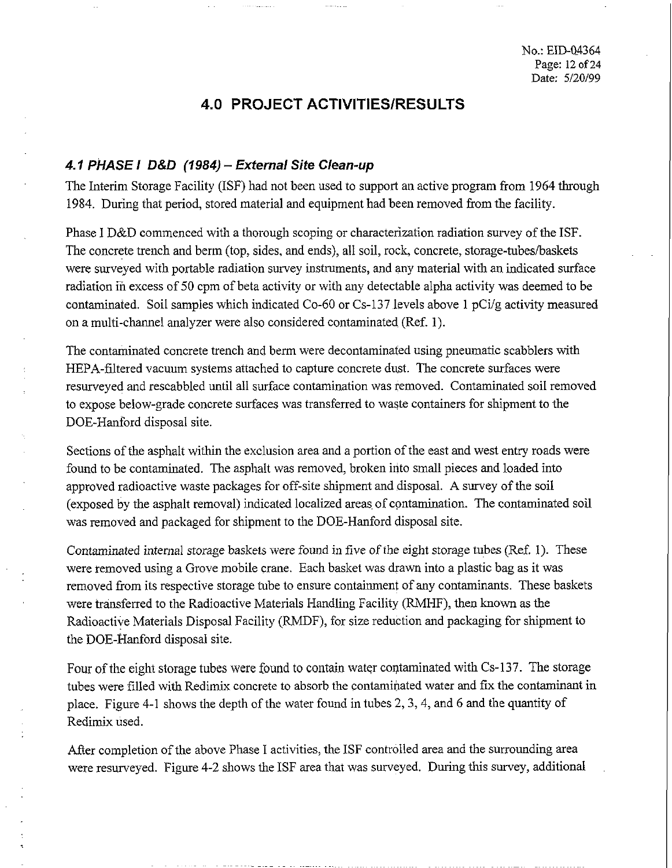## **4.0 PROJECT ACTIVITIESIRESULTS**

#### **4.1 PHASE I D&D (1984)** - **External Site Clean-up**

The Interim Storage Facility (ISF) had not been used to support an active program from 1964 through 1984. During that period, stored material and equipment had been removed from the facility.

Phase I D&D commenced with a thorough scoping or characterization radiation survey of the ISF. The concrete trench and berm (top, sides, and ends), all soil, rock, concrete, storage-tubes/baskets were surveyed with portable radiation survey instruments, and any material with an indicated surface radiation in excess of 50 cpm of beta activity or with any detectable alpha activity was deemed to be contaminated. Soil samples which indicated Co-60 or Cs-137 levels above 1 pCi/g activity measured on a multi-channel analyzer were also considered contaminated (Ref. 1).

The contaminated concrete trench and berm were decontaminated using pneumatic scabblers with HEPA-filtered vacuum systems attached to capture concrete dust. The concrete surfaces were resurveyed and rescabbled until all surface contamination was removed. Contaminated soil removed to expose below-grade concrete surfaces was transferred to waste containers for shipment to the DOE-Hanford disposal site.

Sections of the asphalt within the exclusion area and a portion of the east and west entry roads were found to he contaminated. The asphalt was removed, broken into small pieces and loaded into approved radioactive waste packages for off-site shipment and disposal. A survey of the soil (exposed by the asphalt removal) indicated localized areas of contamination. The contaminated soil was removed and packaged for shipment to the DOE-Hanford disposal site.

Contaminated internal storage baskets were found in five of the eight storage tubes (Ref. 1). These were removed using a Grove mobile crane. Each basket was drawn into a plastic bag as it was removed from its respective storage tube to ensue containment of any contaminants. These baskets were transferred to the Radioactive Materials Handling Facility (RMHF), then known as the Radioactive Materials Disposal Facility (RMDF), for size reduction and packaging for shipment to the DOE-Hanford disposal site.

Four of the eight storage tubes were found to contain water contaminated with Cs-137. The storage tubes were filled with Redimix concrete to absorb the contaminated water and fix the contaminant in place. Figure 4-1 shows the depth of the water found in tubes 2,3,4, and 6 and the quantity of Redimix used.

After completion of the above Phase I activities, the ISF controlled area and the surrounding area were resurveyed. Figure 4-2 shows the ISF area that was surveyed. During this survey, additional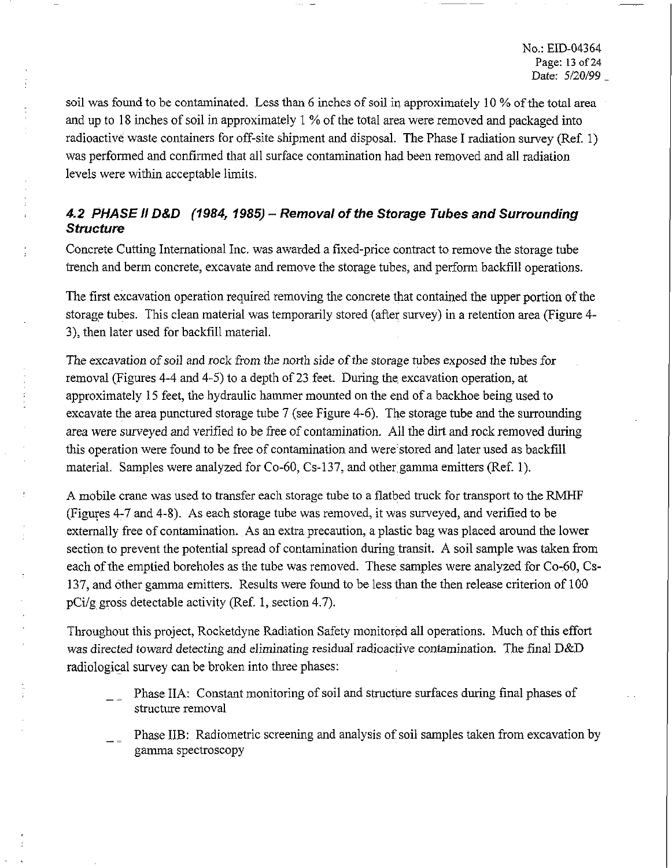soil was found to be contaminated. Less than 6 inches of soil in approximately 10 % of the total area and up to 18 inches of soil in approximately 1 % of the total area were removed and packaged into radioactive waste containers for off-site shipment and disposal. The Phase I radiation survey (Ref. 1) was performed and confirmed that all surface contamination had been removed and all radiation levels were within acceptable limits.

### **4.2 PHASE** *I1* **D&D (1984,1985)** - **Removal of the Storage Tubes and Surrounding Structure**

Concrete Cutting International Inc. was awarded a fixed-price contract to remove the storage tube trench and berm concrete, excavate and remove the storage tubes, and perform backfil operations.

The first excavation operation required removing the concrete that contained the upper portion of the storage tubes. This clean material was temporarily stored (after survey) in a retention area (Figure 4- 3), then later used for backfill material.

The excavation of soil and rock from the north side of the storage tubes exposed the tubes for removal (Figures 4-4 and 4-5) to a depth of 23 feet. During the excavation operation, at approximately 15 feet, the hydraulic hammer mounted on the end of a backhoe being used to excavate the area punctured storage tube 7 (see Figure 4-6). The storage tube and the surrounding area were surveyed and verified to be free of contamination. All the dirt and rock removed during this operation were found to be free of contamination and were stored and later used as backfill material. Samples were analyzed for Co-60, Cs-137, and other gamma emitters (Ref. 1).

A mobile crane was used to transfer each storage tube to a flatbed truck for transport to the RMHF (Figuyes 4-7 and 4-8). As each storage tube was removed, it was surveyed, and verified to be externally free of contamination. As an extra precaution, a plastic bag was placed around the lower section to prevent the potential spread of contamination during transit. A soil sample was taken from each of the emptied boreholes as the tube was removed. These samples were analyzed for Co-60, Cs-137, and other gamma emitters. Results were found to be less than the then release criterion of 100 pCi/g gross detectable activity (Ref. 1, section 4.7).

Throughout this project, Rocketdyne Radiation Safety monitored all operations. Much of this effort was directed toward detecting and eliminating residual radioactive contamination. The final D&D radiological survey can be broken into three phases:

- Phase IIA: Constant monitoring of soil and structure surfaces during final phases of structure removal
- Phase IIB: Radiometric screening and analysis of soil samples taken from excavation by gamma spectroscopy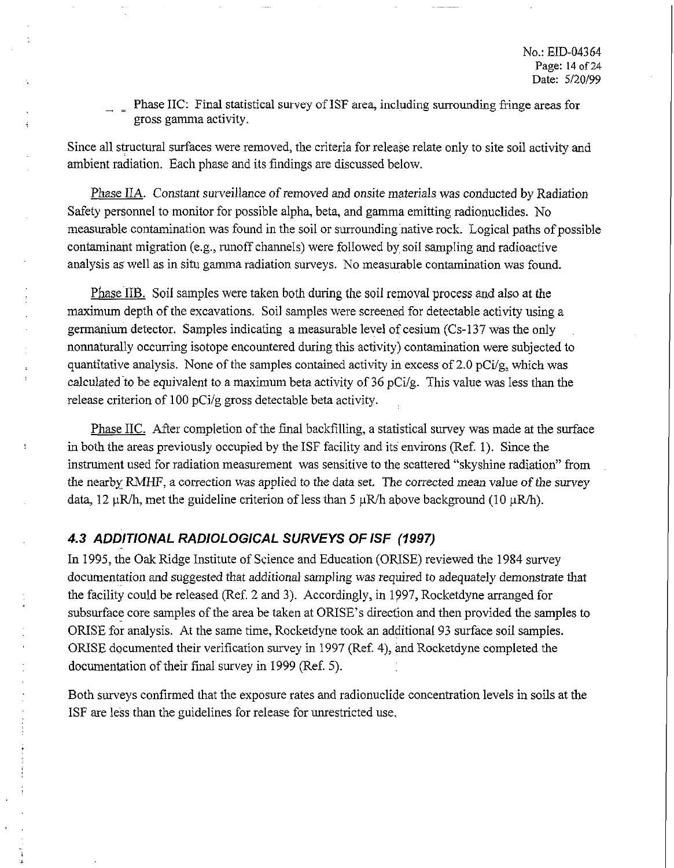Phase IIC: Final statistical survey of ISF area, including surrounding fringe areas for gross gamma activity.

Since all structural surfaces were removed, the criteria for release relate only to site soil activity and ambient radiation. Each phase and its findings are discussed below.

Phase IIA. Constant surveillance of removed and onsite materials was conducted by Radiation Safety personnel to monitor for possible alpha, beta, and gamma emitting radionuclides. No measurable contamination was found in the soil or surrounding native rock. Logical paths of possible contaminant migration (e.g., runoff channels) were followed by soil sampling and radioactive analysis as well as in situ gamma radiation surveys. No measurable contamination was found.

Phase IIB. Soil samples were taken both during the soil removal process and also at the maximum depth of the excavations. Soil samples were screened for detectable activity using a germanium detector. Samples indicating a measurable level of cesium (Cs-137 was the only nonnaturally occurring isotope encountered during this activity) contamination were subjected to quantitative analysis. None of the samples contained activity in excess of 2.0 pCi/g, which was calculated to be equivalent to a maximum beta activity of 36 pCi/g. This value was less than the release criterion of 100 pCi/g gross detectable beta activity.

Phase IIC. After completion of the final backfilling, a statistical survey was made at the surface in both the areas previously occupied by the ISF facility and its environs (Ref. 1). Since the instrument used for radiation measurement was sensitive to the scattered "skyshine radiation" from the nearby RMHF, a correction was applied to the data set. The corrected mean value of the survey data, 12  $\mu$ R/h, met the guideline criterion of less than 5  $\mu$ R/h above background (10  $\mu$ R/h).

#### **4.3 ADDITIONAL RADIOLOGICAL SURVEYS OF /SF (1997)**

In 1995, the Oak Ridge Institute of Science and Education (ORISE) reviewed the 1984 survey documentation and suggested that additional sampling was required to adequately demonstrate that the facility could be released (Ref. 2 and 3). Accordingly, in 1997, Rocketdyne arranged for subsurface core samples of the area be taken at ORISE's direction and then provided the samples to ORISE for analysis. At the same time, Rocketdyne took an additionaI 93 surface soil samples. ORISE documented their verification survey in 1997 (Ref. 4), and Rocketdyne completed the documentation of their final survey in 1999 (Ref. 5).

Both surveys confirmed that the exposure rates and radionuclide concentration levels in soils at the ISF are less than the guidelines for release for unrestricted use.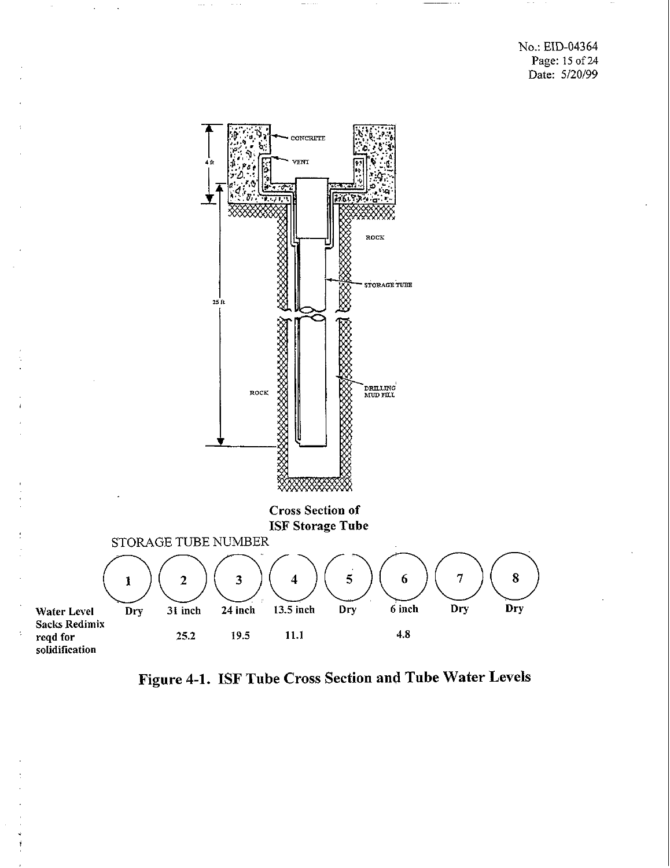No.: EID-04364 Page: **15** of 24 Date: 5/20/99



**Figure 4-1. ISF Tube Cross Section and Tube Water Levels**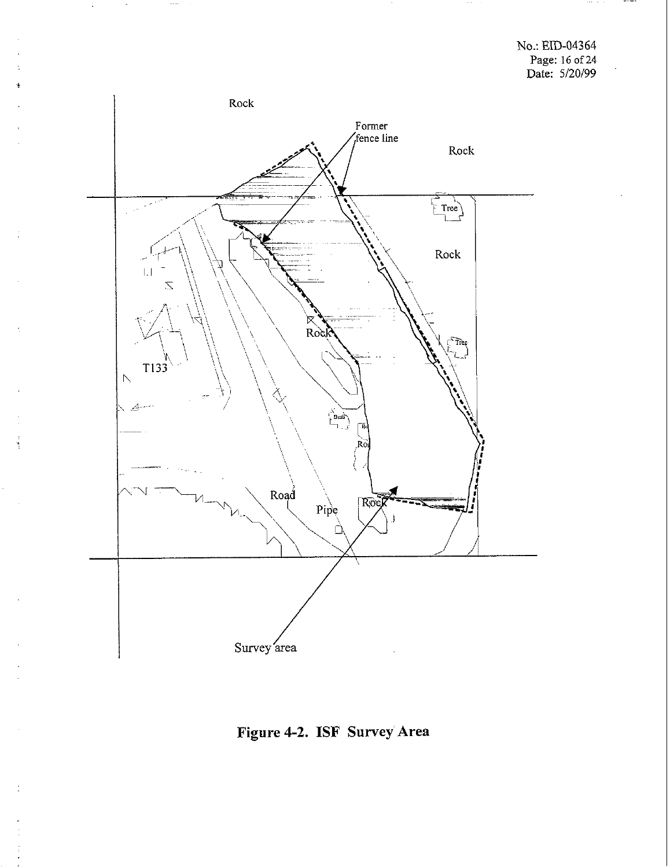

**Figure 4-2. ISF Suwey Area**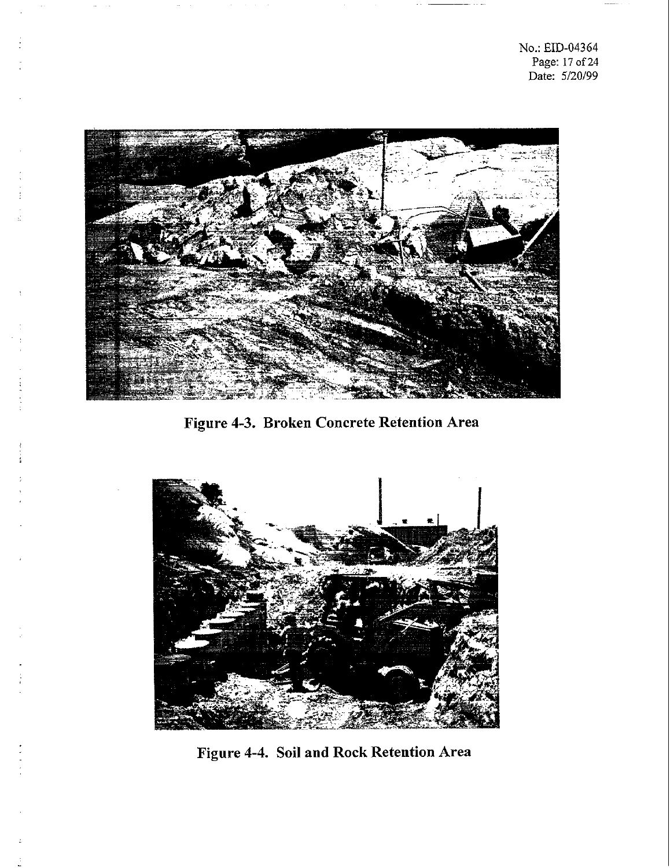

**Figure 4-3. Broken Concrete Retention Area** 



**Figure 4-4. Soil and Rock Retention Area**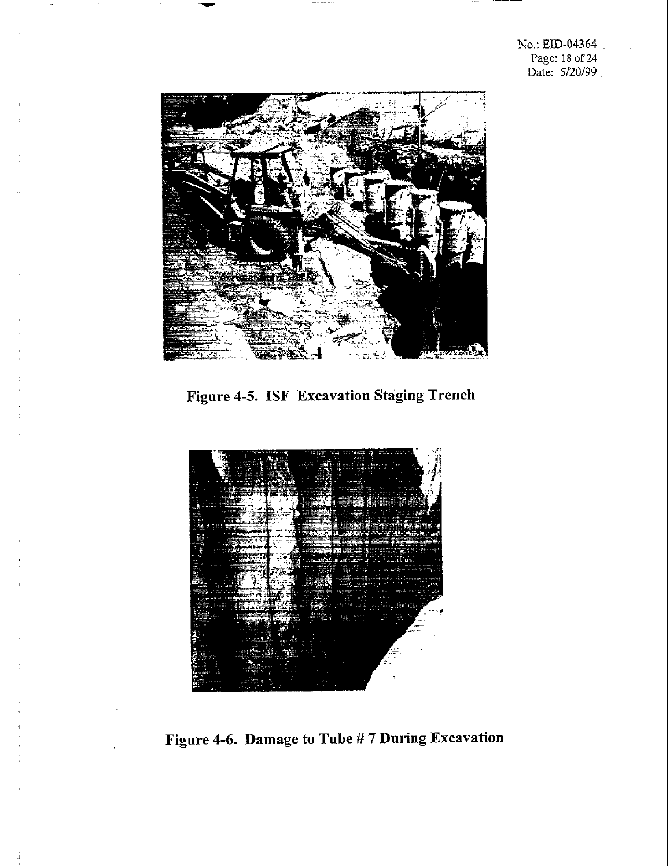No.: EID-04364 Page: 18 of **24**  Date: 5/20/99.



**Figure 4-5. ISF Excavation Staging Trench** 



**Figure 4-6. Damage to Tube** # **7 During Excavation**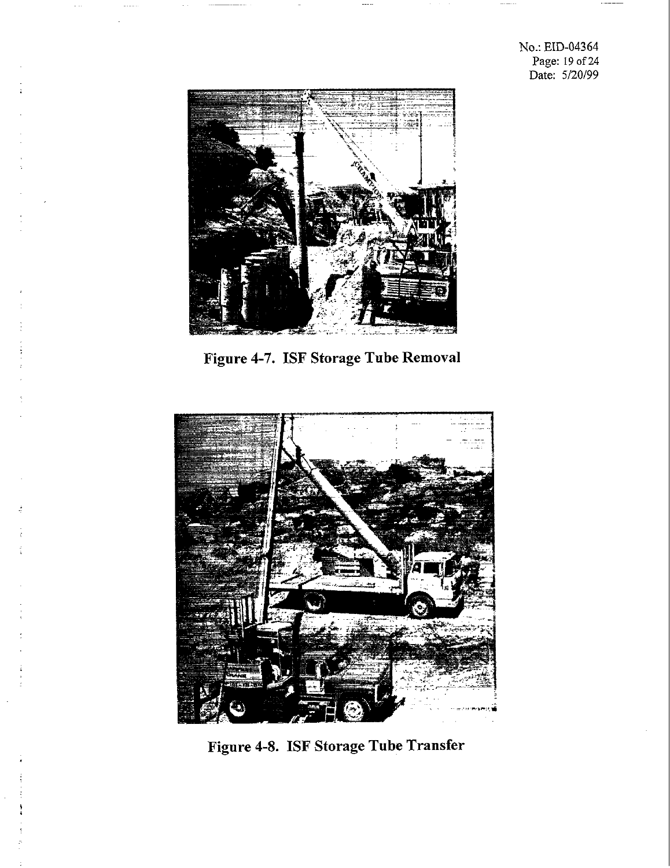No.: EID-04364 Page: 19 of **24**  Date: 5/20/99



**Figure 4-7. ISF Storage Tube Removal** 



**Figure 4-8. ISF Storage Tube Transfer**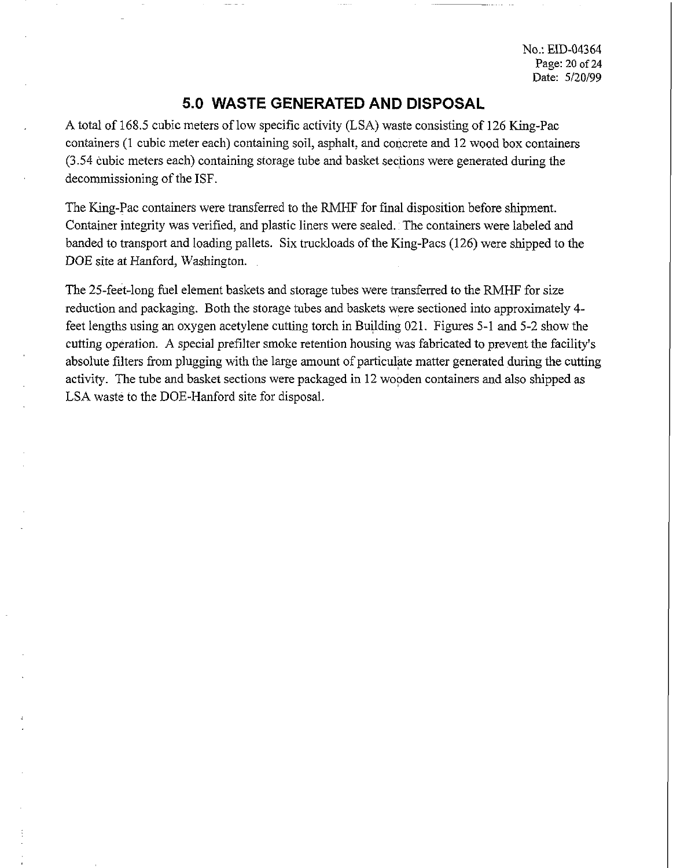No.: ED-04364 Page: 20 of 24 Date: 5/20/99

### **5.0 WASTE GENERATED AND DISPOSAL**

A total of 168.5 cubic meters of low specific activity (LSA) waste consisting of 126 King-Pac containers (1 cubic meter each) containing soil, asphalt, and concrete and 12 wood box containers (3.54 cubic meters each) containing storage tube and basket sections were generated during the decommissioning of the ISF.

The King-Pac containers were transferred to the RMHF for final disposition before shipment. Container integrity was verified, and plastic liners were sealed. The containers were labeled and banded to transport and loading pallets. Six truckloads of the King-Pacs (126) were shipped to the DOE site at Hanford, Washington.

The 25-feet-long fuel element baskets and storage tubes were transferred to the RMHF for size reduction and packaging. Both the storage tubes and baskets were sectioned into approximately 4 feet lengths using an oxygen acetylene cutting torch in Building 021. Figures 5-1 and 5-2 show the cutting operation. A special prefilter smoke retention housing was fabricated to prevent the facility's absolute filters from plugging with the large amount of particulate matter generated during the cutting activify. The tube and basket sections were packaged in 12 wooden containers and also shipped as LSA waste to the DOE-Hanford site for disposal.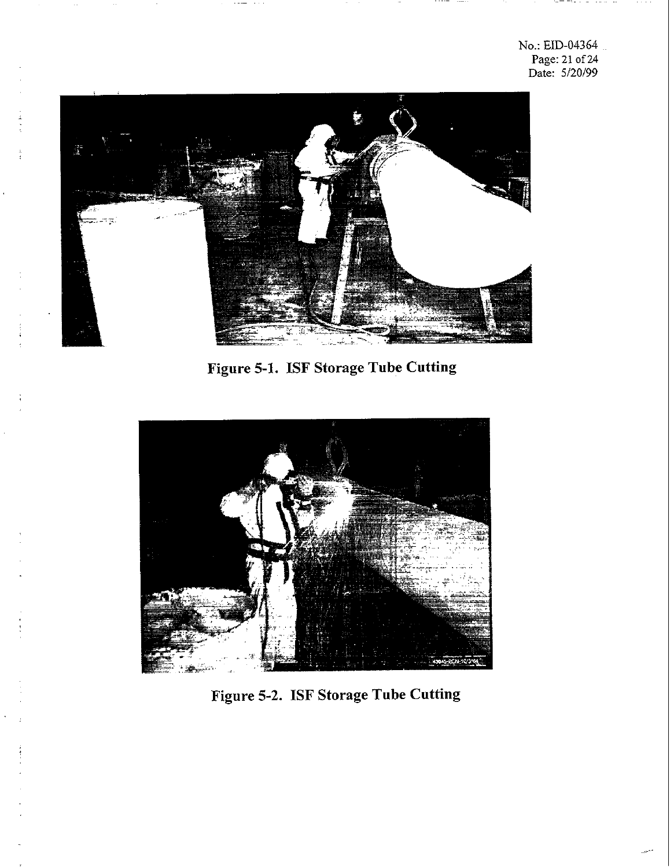No.: EID-04364 Page: 21 of 24 Date: 5/20/99



 $\frac{1}{2}$ 

**Figure 5-1. ISF Storage Tube Cutting** 



**Figure 5-2. ISF Storage Tube Cutting**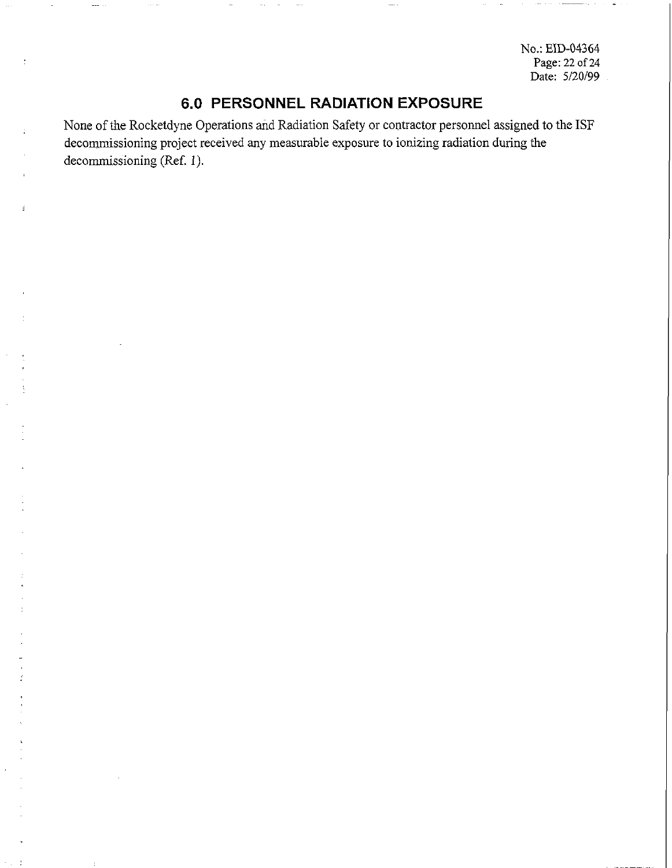No.: EID-04364 Page: 22 of **24**  Date: *5120199* 

## **6.0 PERSONNEL RADIATION EXPOSURE**

None of the Rocketdyne Operations and Radiation Safety or contractor personnel assigned to the ISF decommissioning project received any measurable exposure to ionizing radiation during the decommissioning (Ref. 1).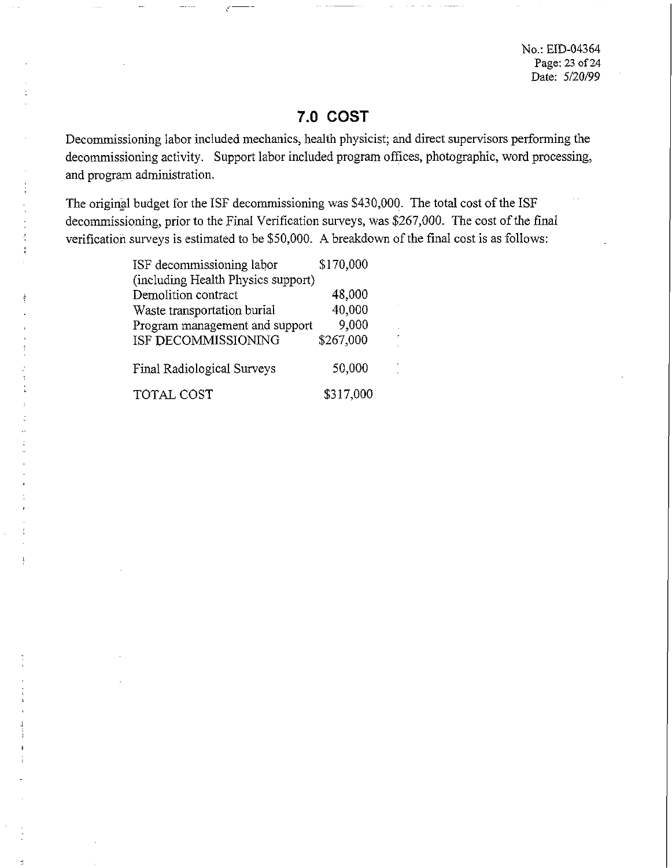No.: EID-04364 Page: **23** of **24**  Date: 5/20/99

# **7.0 COST**

Decommissioning labor included mechanics, health physicist; and direct supervisors performing the decommissioning activity. Support labor included program offices, photographic, word processing, and program administration.

The original budget for the ISF decommissioning was \$430,000. The total cost of the ISF decommissioning, prior to the Final Verification surveys, was \$267,000. The cost of the final verification surveys is estimated to be \$50,000. A breakdown of the final cost is as follows:

| ISF decommissioning labor          | \$170,000 |
|------------------------------------|-----------|
| (including Health Physics support) |           |
| Demolition contract                | 48,000    |
| Waste transportation burial        | 40,000    |
| Program management and support     | 9,000     |
| ISF DECOMMISSIONING                | \$267,000 |
| Final Radiological Surveys         | 50,000    |
| TOTAL COST                         | \$317,000 |